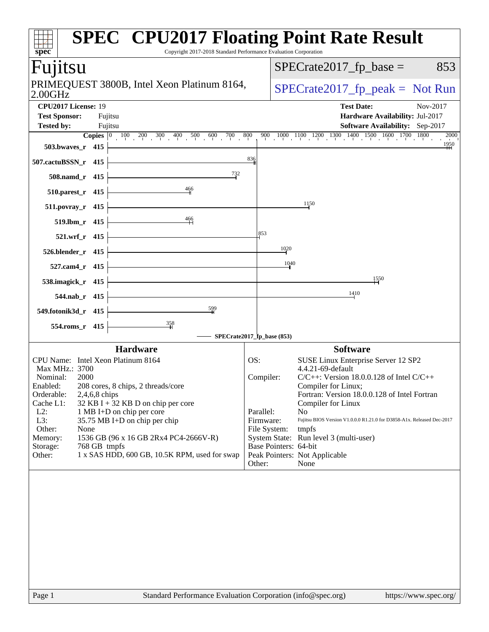| <b>SPEC<sup>®</sup> CPU2017 Floating Point Rate Result</b><br>Copyright 2017-2018 Standard Performance Evaluation Corporation<br>spec <sup>®</sup> |                            |                                                                                                                                                                  |
|----------------------------------------------------------------------------------------------------------------------------------------------------|----------------------------|------------------------------------------------------------------------------------------------------------------------------------------------------------------|
| Fujitsu                                                                                                                                            |                            | $SPECrate2017_fp\_base =$<br>853                                                                                                                                 |
| PRIMEQUEST 3800B, Intel Xeon Platinum 8164,<br>$2.00$ GHz                                                                                          |                            | $SPECrate2017_fp\_peak = Not Run$                                                                                                                                |
| CPU2017 License: 19<br><b>Test Sponsor:</b><br>Fujitsu                                                                                             |                            | <b>Test Date:</b><br>Nov-2017<br>Hardware Availability: Jul-2017                                                                                                 |
| <b>Tested by:</b><br>Fujitsu                                                                                                                       |                            | <b>Software Availability:</b> Sep-2017                                                                                                                           |
| <b>Copies</b> $\begin{bmatrix} 0 & 100 & 200 & 300 & 400 & 500 & 600 & 700 \end{bmatrix}$<br>503.bwaves_r 415                                      | 800                        | $\frac{900}{1000}-\frac{1000}{1100}-\frac{1200}{1200}-\frac{1300}{1300}-\frac{1400}{1500}-\frac{1500}{1600}-\frac{1600}{1700}-\frac{1800}{1800}$<br>2000<br>1950 |
| 507.cactuBSSN_r 415                                                                                                                                | 836                        |                                                                                                                                                                  |
| 732<br>508.namd_r 415                                                                                                                              |                            |                                                                                                                                                                  |
| 466<br>510.parest_r 415                                                                                                                            |                            |                                                                                                                                                                  |
| $511. povray_r 415$                                                                                                                                |                            | 1150                                                                                                                                                             |
| $\frac{466}{1}$<br>519.lbm_r 415                                                                                                                   | 853                        |                                                                                                                                                                  |
| 521.wrf_r 415                                                                                                                                      |                            | 1020                                                                                                                                                             |
| 526.blender_r 415                                                                                                                                  |                            | 1040                                                                                                                                                             |
| 527.cam4_r 415<br>538.imagick_r 415                                                                                                                |                            | 1550                                                                                                                                                             |
| 544.nab_r 415                                                                                                                                      |                            | 1410                                                                                                                                                             |
| 599<br>549.fotonik3d_r 415                                                                                                                         |                            |                                                                                                                                                                  |
| 554.roms_r 415                                                                                                                                     |                            |                                                                                                                                                                  |
|                                                                                                                                                    | SPECrate2017_fp_base (853) |                                                                                                                                                                  |
| <b>Hardware</b>                                                                                                                                    |                            | <b>Software</b>                                                                                                                                                  |
| CPU Name: Intel Xeon Platinum 8164                                                                                                                 | OS:                        | SUSE Linux Enterprise Server 12 SP2                                                                                                                              |
| Max MHz.: 3700                                                                                                                                     |                            | 4.4.21-69-default                                                                                                                                                |
| Nominal:<br>2000                                                                                                                                   | Compiler:                  | $C/C++$ : Version 18.0.0.128 of Intel $C/C++$                                                                                                                    |
| Enabled:<br>208 cores, 8 chips, 2 threads/core                                                                                                     |                            | Compiler for Linux;                                                                                                                                              |
| Orderable:<br>$2,4,6,8$ chips<br>Cache L1:<br>$32$ KB I + 32 KB D on chip per core                                                                 |                            | Fortran: Version 18.0.0.128 of Intel Fortran<br>Compiler for Linux                                                                                               |
| $L2$ :<br>1 MB I+D on chip per core                                                                                                                | Parallel:                  | N <sub>0</sub>                                                                                                                                                   |
| L3:<br>35.75 MB I+D on chip per chip                                                                                                               | Firmware:                  | Fujitsu BIOS Version V1.0.0.0 R1.21.0 for D3858-A1x. Released Dec-2017                                                                                           |
| Other:<br>None                                                                                                                                     | File System:               | tmpfs                                                                                                                                                            |
| 1536 GB (96 x 16 GB 2Rx4 PC4-2666V-R)<br>Memory:                                                                                                   |                            | System State: Run level 3 (multi-user)                                                                                                                           |
| 768 GB tmpfs<br>Storage:                                                                                                                           |                            | Base Pointers: 64-bit                                                                                                                                            |
| 1 x SAS HDD, 600 GB, 10.5K RPM, used for swap<br>Other:                                                                                            | Other:                     | Peak Pointers: Not Applicable<br>None                                                                                                                            |
|                                                                                                                                                    |                            |                                                                                                                                                                  |
| Standard Performance Evaluation Corporation (info@spec.org)<br>Page 1                                                                              |                            | https://www.spec.org/                                                                                                                                            |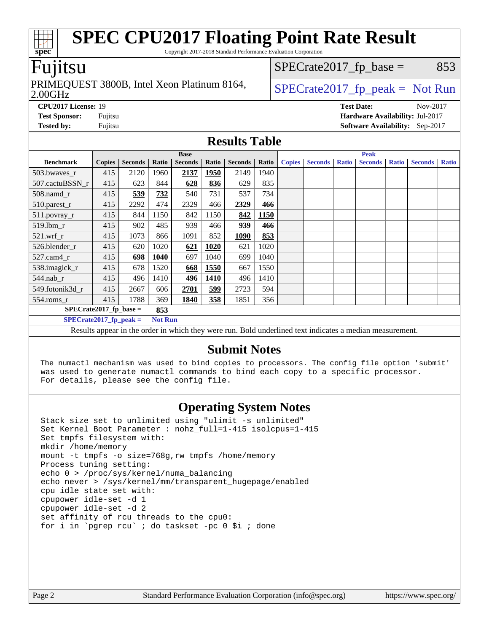## **[SPEC CPU2017 Floating Point Rate Result](http://www.spec.org/auto/cpu2017/Docs/result-fields.html#SPECCPU2017FloatingPointRateResult)**

Copyright 2017-2018 Standard Performance Evaluation Corporation

#### Fujitsu

#### 2.00GHz PRIMEQUEST 3800B, Intel Xeon Platinum 8164,  $\vert$  [SPECrate2017\\_fp\\_peak =](http://www.spec.org/auto/cpu2017/Docs/result-fields.html#SPECrate2017fppeak) Not Run

 $SPECTate2017<sub>fr</sub> base = 853$ 

**[CPU2017 License:](http://www.spec.org/auto/cpu2017/Docs/result-fields.html#CPU2017License)** 19 **[Test Date:](http://www.spec.org/auto/cpu2017/Docs/result-fields.html#TestDate)** Nov-2017 **[Test Sponsor:](http://www.spec.org/auto/cpu2017/Docs/result-fields.html#TestSponsor)** Fujitsu **[Hardware Availability:](http://www.spec.org/auto/cpu2017/Docs/result-fields.html#HardwareAvailability)** Jul-2017 **[Tested by:](http://www.spec.org/auto/cpu2017/Docs/result-fields.html#Testedby)** Fujitsu **[Software Availability:](http://www.spec.org/auto/cpu2017/Docs/result-fields.html#SoftwareAvailability)** Sep-2017

#### **[Results Table](http://www.spec.org/auto/cpu2017/Docs/result-fields.html#ResultsTable)**

|                           | <b>Base</b>   |                |                |                                                                                                          |       |                |       |               |                |              | <b>Peak</b>    |              |                |              |  |  |  |
|---------------------------|---------------|----------------|----------------|----------------------------------------------------------------------------------------------------------|-------|----------------|-------|---------------|----------------|--------------|----------------|--------------|----------------|--------------|--|--|--|
| <b>Benchmark</b>          | <b>Copies</b> | <b>Seconds</b> | Ratio          | <b>Seconds</b>                                                                                           | Ratio | <b>Seconds</b> | Ratio | <b>Copies</b> | <b>Seconds</b> | <b>Ratio</b> | <b>Seconds</b> | <b>Ratio</b> | <b>Seconds</b> | <b>Ratio</b> |  |  |  |
| 503.bwaves_r              | 415           | 2120           | 1960           | 2137                                                                                                     | 1950  | 2149           | 1940  |               |                |              |                |              |                |              |  |  |  |
| 507.cactuBSSN r           | 415           | 623            | 844            | 628                                                                                                      | 836   | 629            | 835   |               |                |              |                |              |                |              |  |  |  |
| $508$ .namd $r$           | 415           | 539            | 732            | 540                                                                                                      | 731   | 537            | 734   |               |                |              |                |              |                |              |  |  |  |
| 510.parest_r              | 415           | 2292           | 474            | 2329                                                                                                     | 466   | 2329           | 466   |               |                |              |                |              |                |              |  |  |  |
| 511.povray_r              | 415           | 844            | 1150           | 842                                                                                                      | 1150  | 842            | 1150  |               |                |              |                |              |                |              |  |  |  |
| 519.lbm r                 | 415           | 902            | 485            | 939                                                                                                      | 466   | 939            | 466   |               |                |              |                |              |                |              |  |  |  |
| $521$ .wrf r              | 415           | 1073           | 866            | 1091                                                                                                     | 852   | 1090           | 853   |               |                |              |                |              |                |              |  |  |  |
| 526.blender r             | 415           | 620            | 1020           | 621                                                                                                      | 1020  | 621            | 1020  |               |                |              |                |              |                |              |  |  |  |
| $527$ .cam $4r$           | 415           | 698            | 1040           | 697                                                                                                      | 1040  | 699            | 1040  |               |                |              |                |              |                |              |  |  |  |
| 538.imagick_r             | 415           | 678            | 1520           | 668                                                                                                      | 1550  | 667            | 1550  |               |                |              |                |              |                |              |  |  |  |
| 544.nab r                 | 415           | 496            | 1410           | 496                                                                                                      | 1410  | 496            | 1410  |               |                |              |                |              |                |              |  |  |  |
| 549.fotonik3d r           | 415           | 2667           | 606            | 2701                                                                                                     | 599   | 2723           | 594   |               |                |              |                |              |                |              |  |  |  |
| $554$ .roms_r             | 415           | 1788           | 369            | 1840                                                                                                     | 358   | 1851           | 356   |               |                |              |                |              |                |              |  |  |  |
| $SPECrate2017_fp\_base =$ |               |                | 853            |                                                                                                          |       |                |       |               |                |              |                |              |                |              |  |  |  |
| $SPECrate2017$ fp peak =  |               |                | <b>Not Run</b> |                                                                                                          |       |                |       |               |                |              |                |              |                |              |  |  |  |
|                           |               |                |                | Results appear in the order in which they were run. Bold underlined text indicates a median measurement. |       |                |       |               |                |              |                |              |                |              |  |  |  |

#### **[Submit Notes](http://www.spec.org/auto/cpu2017/Docs/result-fields.html#SubmitNotes)**

 The numactl mechanism was used to bind copies to processors. The config file option 'submit' was used to generate numactl commands to bind each copy to a specific processor. For details, please see the config file.

### **[Operating System Notes](http://www.spec.org/auto/cpu2017/Docs/result-fields.html#OperatingSystemNotes)**

 Stack size set to unlimited using "ulimit -s unlimited" Set Kernel Boot Parameter : nohz\_full=1-415 isolcpus=1-415 Set tmpfs filesystem with: mkdir /home/memory mount -t tmpfs -o size=768g,rw tmpfs /home/memory Process tuning setting: echo 0 > /proc/sys/kernel/numa\_balancing echo never > /sys/kernel/mm/transparent\_hugepage/enabled cpu idle state set with: cpupower idle-set -d 1 cpupower idle-set -d 2 set affinity of rcu threads to the cpu0: for i in `pgrep rcu` ; do taskset -pc 0 \$i ; done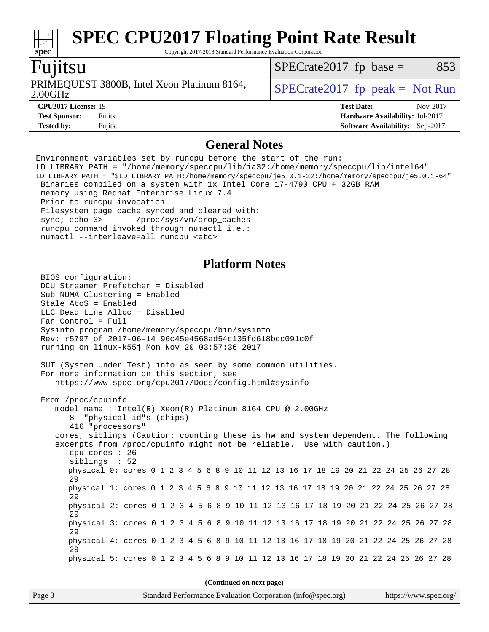Copyright 2017-2018 Standard Performance Evaluation Corporation

### Fujitsu

**[spec](http://www.spec.org/)**

2.00GHz PRIMEQUEST 3800B, Intel Xeon Platinum 8164,  $\big|$  [SPECrate2017\\_fp\\_peak =](http://www.spec.org/auto/cpu2017/Docs/result-fields.html#SPECrate2017fppeak) Not Run

 $SPECTate2017<sub>fr</sub> base = 853$ 

| 2.00GHz    |  |
|------------|--|
| CDI1201713 |  |

**[Tested by:](http://www.spec.org/auto/cpu2017/Docs/result-fields.html#Testedby)** Fujitsu **Fugital Example 2017 [Software Availability:](http://www.spec.org/auto/cpu2017/Docs/result-fields.html#SoftwareAvailability)** Sep-2017

**[CPU2017 License:](http://www.spec.org/auto/cpu2017/Docs/result-fields.html#CPU2017License)** 19 **[Test Date:](http://www.spec.org/auto/cpu2017/Docs/result-fields.html#TestDate)** Nov-2017 **[Test Sponsor:](http://www.spec.org/auto/cpu2017/Docs/result-fields.html#TestSponsor)** Fujitsu **[Hardware Availability:](http://www.spec.org/auto/cpu2017/Docs/result-fields.html#HardwareAvailability)** Jul-2017

#### **[General Notes](http://www.spec.org/auto/cpu2017/Docs/result-fields.html#GeneralNotes)**

Environment variables set by runcpu before the start of the run: LD\_LIBRARY\_PATH = "/home/memory/speccpu/lib/ia32:/home/memory/speccpu/lib/intel64" LD\_LIBRARY\_PATH = "\$LD\_LIBRARY\_PATH:/home/memory/speccpu/je5.0.1-32:/home/memory/speccpu/je5.0.1-64" Binaries compiled on a system with 1x Intel Core i7-4790 CPU + 32GB RAM memory using Redhat Enterprise Linux 7.4 Prior to runcpu invocation Filesystem page cache synced and cleared with: sync; echo 3> /proc/sys/vm/drop\_caches runcpu command invoked through numactl i.e.: numactl --interleave=all runcpu <etc> **[Platform Notes](http://www.spec.org/auto/cpu2017/Docs/result-fields.html#PlatformNotes)** BIOS configuration: DCU Streamer Prefetcher = Disabled Sub NUMA Clustering = Enabled Stale AtoS = Enabled LLC Dead Line Alloc = Disabled Fan Control = Full Sysinfo program /home/memory/speccpu/bin/sysinfo Rev: r5797 of 2017-06-14 96c45e4568ad54c135fd618bcc091c0f running on linux-k55j Mon Nov 20 03:57:36 2017 SUT (System Under Test) info as seen by some common utilities. For more information on this section, see <https://www.spec.org/cpu2017/Docs/config.html#sysinfo> From /proc/cpuinfo model name : Intel(R) Xeon(R) Platinum 8164 CPU @ 2.00GHz 8 "physical id"s (chips) 416 "processors" cores, siblings (Caution: counting these is hw and system dependent. The following excerpts from /proc/cpuinfo might not be reliable. Use with caution.) cpu cores : 26 siblings : 52 physical 0: cores 0 1 2 3 4 5 6 8 9 10 11 12 13 16 17 18 19 20 21 22 24 25 26 27 28 29 physical 1: cores 0 1 2 3 4 5 6 8 9 10 11 12 13 16 17 18 19 20 21 22 24 25 26 27 28 29 physical 2: cores 0 1 2 3 4 5 6 8 9 10 11 12 13 16 17 18 19 20 21 22 24 25 26 27 28 29 physical 3: cores 0 1 2 3 4 5 6 8 9 10 11 12 13 16 17 18 19 20 21 22 24 25 26 27 28 29 physical 4: cores 0 1 2 3 4 5 6 8 9 10 11 12 13 16 17 18 19 20 21 22 24 25 26 27 28 29 physical 5: cores 0 1 2 3 4 5 6 8 9 10 11 12 13 16 17 18 19 20 21 22 24 25 26 27 28 **(Continued on next page)**

Page 3 Standard Performance Evaluation Corporation [\(info@spec.org\)](mailto:info@spec.org) <https://www.spec.org/>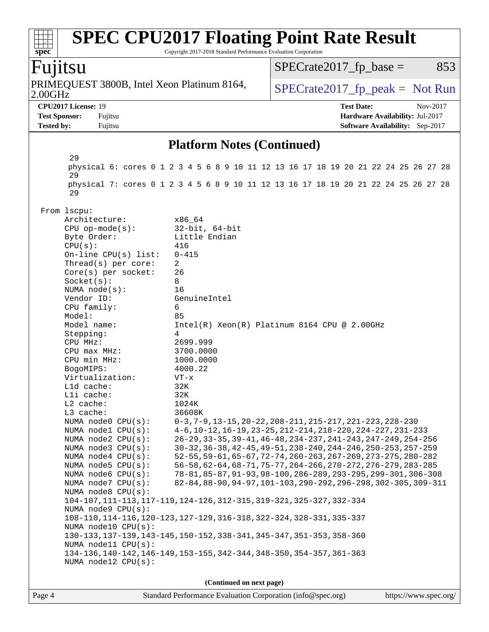#### **[spec](http://www.spec.org/) [SPEC CPU2017 Floating Point Rate Result](http://www.spec.org/auto/cpu2017/Docs/result-fields.html#SPECCPU2017FloatingPointRateResult)** Copyright 2017-2018 Standard Performance Evaluation Corporation Fujitsu 2.00GHz PRIMEQUEST 3800B, Intel Xeon Platinum 8164,  $\big|$  SPECrate 2017 fp peak = Not Run  $SPECTate2017<sub>fr</sub> base = 853$ **[CPU2017 License:](http://www.spec.org/auto/cpu2017/Docs/result-fields.html#CPU2017License)** 19 **[Test Date:](http://www.spec.org/auto/cpu2017/Docs/result-fields.html#TestDate)** Nov-2017 **[Test Sponsor:](http://www.spec.org/auto/cpu2017/Docs/result-fields.html#TestSponsor)** Fujitsu **[Hardware Availability:](http://www.spec.org/auto/cpu2017/Docs/result-fields.html#HardwareAvailability)** Jul-2017 **[Tested by:](http://www.spec.org/auto/cpu2017/Docs/result-fields.html#Testedby)** Fujitsu **Fugital Example 2017 [Software Availability:](http://www.spec.org/auto/cpu2017/Docs/result-fields.html#SoftwareAvailability)** Sep-2017 **[Platform Notes \(Continued\)](http://www.spec.org/auto/cpu2017/Docs/result-fields.html#PlatformNotes)** 29 physical 6: cores 0 1 2 3 4 5 6 8 9 10 11 12 13 16 17 18 19 20 21 22 24 25 26 27 28 29 physical 7: cores 0 1 2 3 4 5 6 8 9 10 11 12 13 16 17 18 19 20 21 22 24 25 26 27 28 29 From lscpu: Architecture: x86\_64 CPU op-mode(s): 32-bit, 64-bit Byte Order: Little Endian CPU(s): 416 On-line CPU(s) list: 0-415 Thread(s) per core: 2 Core(s) per socket: 26 Socket(s): 8 NUMA node(s): 16 Vendor ID: GenuineIntel CPU family: 6 Model: 85<br>Model name: 1n Intel(R) Xeon(R) Platinum 8164 CPU @ 2.00GHz Stepping: 4 CPU MHz: 2699.999 CPU max MHz: 3700.0000 CPU min MHz: 1000.0000 BogoMIPS: 4000.22 Virtualization: VT-x L1d cache: 32K L1i cache: 32K L2 cache: 1024K L3 cache: 36608K<br>NUMA node0 CPU(s): 0-3,7-0-3,7-9,13-15,20-22,208-211,215-217,221-223,228-230 NUMA node1 CPU(s): 4-6,10-12,16-19,23-25,212-214,218-220,224-227,231-233 NUMA node2 CPU(s): 26-29,33-35,39-41,46-48,234-237,241-243,247-249,254-256 NUMA node3 CPU(s): 30-32,36-38,42-45,49-51,238-240,244-246,250-253,257-259 NUMA node4 CPU(s): 52-55,59-61,65-67,72-74,260-263,267-269,273-275,280-282 NUMA node5 CPU(s): 56-58,62-64,68-71,75-77,264-266,270-272,276-279,283-285 NUMA node6 CPU(s): 78-81,85-87,91-93,98-100,286-289,293-295,299-301,306-308 NUMA node7 CPU(s): 82-84,88-90,94-97,101-103,290-292,296-298,302-305,309-311 NUMA node8 CPU(s): 104-107,111-113,117-119,124-126,312-315,319-321,325-327,332-334 NUMA node9 CPU(s): 108-110,114-116,120-123,127-129,316-318,322-324,328-331,335-337 NUMA node10 CPU(s): 130-133,137-139,143-145,150-152,338-341,345-347,351-353,358-360 NUMA node11 CPU(s): 134-136,140-142,146-149,153-155,342-344,348-350,354-357,361-363 NUMA node12 CPU(s): **(Continued on next page)**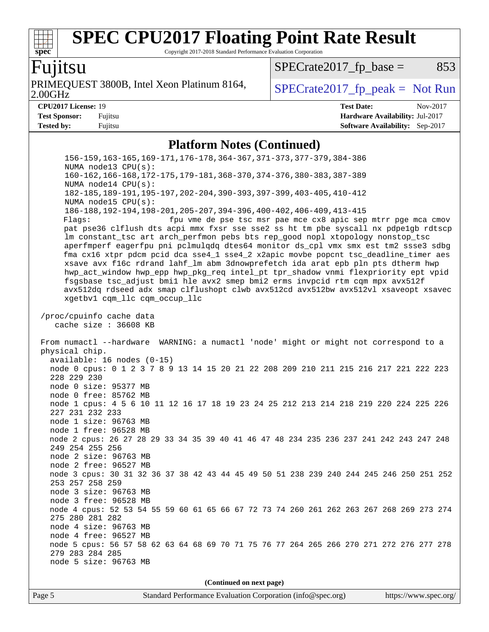## **[SPEC CPU2017 Floating Point Rate Result](http://www.spec.org/auto/cpu2017/Docs/result-fields.html#SPECCPU2017FloatingPointRateResult)**

Copyright 2017-2018 Standard Performance Evaluation Corporation

#### Fujitsu

2.00GHz PRIMEQUEST 3800B, Intel Xeon Platinum 8164,  $\big|$  SPECrate 2017 fp peak = Not Run

#### $SPECTate2017<sub>fp</sub> base =  $853$$

| <b>CPU2017 License: 19</b> |         |
|----------------------------|---------|
| <b>Test Sponsor:</b>       | Fujitsu |
| Tested hv•                 | Fuiiten |

**[CPU2017 License:](http://www.spec.org/auto/cpu2017/Docs/result-fields.html#CPU2017License)** 19 **[Test Date:](http://www.spec.org/auto/cpu2017/Docs/result-fields.html#TestDate)** Nov-2017 **[Hardware Availability:](http://www.spec.org/auto/cpu2017/Docs/result-fields.html#HardwareAvailability)** Jul-2017 **[Software Availability:](http://www.spec.org/auto/cpu2017/Docs/result-fields.html#SoftwareAvailability)** Sep-2017

#### **[Platform Notes \(Continued\)](http://www.spec.org/auto/cpu2017/Docs/result-fields.html#PlatformNotes)**

 156-159,163-165,169-171,176-178,364-367,371-373,377-379,384-386 NUMA node13 CPU(s): 160-162,166-168,172-175,179-181,368-370,374-376,380-383,387-389 NUMA node14 CPU(s): 182-185,189-191,195-197,202-204,390-393,397-399,403-405,410-412 NUMA node15 CPU(s): 186-188,192-194,198-201,205-207,394-396,400-402,406-409,413-415 Flags: fpu vme de pse tsc msr pae mce cx8 apic sep mtrr pge mca cmov pat pse36 clflush dts acpi mmx fxsr sse sse2 ss ht tm pbe syscall nx pdpe1gb rdtscp lm constant\_tsc art arch\_perfmon pebs bts rep\_good nopl xtopology nonstop\_tsc aperfmperf eagerfpu pni pclmulqdq dtes64 monitor ds\_cpl vmx smx est tm2 ssse3 sdbg fma cx16 xtpr pdcm pcid dca sse4\_1 sse4\_2 x2apic movbe popcnt tsc\_deadline\_timer aes xsave avx f16c rdrand lahf\_lm abm 3dnowprefetch ida arat epb pln pts dtherm hwp hwp\_act\_window hwp\_epp hwp\_pkg\_req intel\_pt tpr\_shadow vnmi flexpriority ept vpid fsgsbase tsc\_adjust bmi1 hle avx2 smep bmi2 erms invpcid rtm cqm mpx avx512f avx512dq rdseed adx smap clflushopt clwb avx512cd avx512bw avx512vl xsaveopt xsavec xgetbv1 cqm\_llc cqm\_occup\_llc /proc/cpuinfo cache data cache size : 36608 KB From numactl --hardware WARNING: a numactl 'node' might or might not correspond to a physical chip. available: 16 nodes (0-15) node 0 cpus: 0 1 2 3 7 8 9 13 14 15 20 21 22 208 209 210 211 215 216 217 221 222 223 228 229 230 node 0 size: 95377 MB node 0 free: 85762 MB node 1 cpus: 4 5 6 10 11 12 16 17 18 19 23 24 25 212 213 214 218 219 220 224 225 226 227 231 232 233 node 1 size: 96763 MB node 1 free: 96528 MB node 2 cpus: 26 27 28 29 33 34 35 39 40 41 46 47 48 234 235 236 237 241 242 243 247 248 249 254 255 256 node 2 size: 96763 MB node 2 free: 96527 MB node 3 cpus: 30 31 32 36 37 38 42 43 44 45 49 50 51 238 239 240 244 245 246 250 251 252 253 257 258 259 node 3 size: 96763 MB node 3 free: 96528 MB node 4 cpus: 52 53 54 55 59 60 61 65 66 67 72 73 74 260 261 262 263 267 268 269 273 274 275 280 281 282 node 4 size: 96763 MB node 4 free: 96527 MB node 5 cpus: 56 57 58 62 63 64 68 69 70 71 75 76 77 264 265 266 270 271 272 276 277 278 279 283 284 285 node 5 size: 96763 MB

**(Continued on next page)**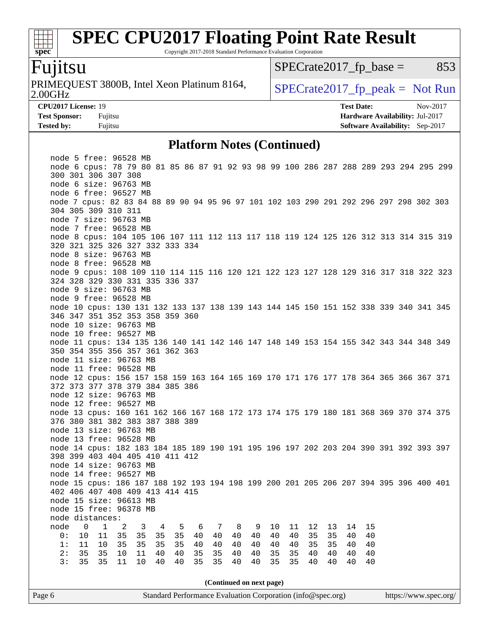### **[SPEC CPU2017 Floating Point Rate Result](http://www.spec.org/auto/cpu2017/Docs/result-fields.html#SPECCPU2017FloatingPointRateResult)**

Copyright 2017-2018 Standard Performance Evaluation Corporation

### Fujitsu

2.00GHz PRIMEQUEST 3800B, Intel Xeon Platinum 8164,  $\big|$  [SPECrate2017\\_fp\\_peak =](http://www.spec.org/auto/cpu2017/Docs/result-fields.html#SPECrate2017fppeak) Not Run

 $SPECTate2017<sub>fp</sub> base =  $853$$ 

**[CPU2017 License:](http://www.spec.org/auto/cpu2017/Docs/result-fields.html#CPU2017License)** 19 **[Test Date:](http://www.spec.org/auto/cpu2017/Docs/result-fields.html#TestDate)** Nov-2017 **[Test Sponsor:](http://www.spec.org/auto/cpu2017/Docs/result-fields.html#TestSponsor)** Fujitsu **[Hardware Availability:](http://www.spec.org/auto/cpu2017/Docs/result-fields.html#HardwareAvailability)** Jul-2017 **[Tested by:](http://www.spec.org/auto/cpu2017/Docs/result-fields.html#Testedby)** Fujitsu **Fugital Example 2017 [Software Availability:](http://www.spec.org/auto/cpu2017/Docs/result-fields.html#SoftwareAvailability)** Sep-2017

#### **[Platform Notes \(Continued\)](http://www.spec.org/auto/cpu2017/Docs/result-fields.html#PlatformNotes)**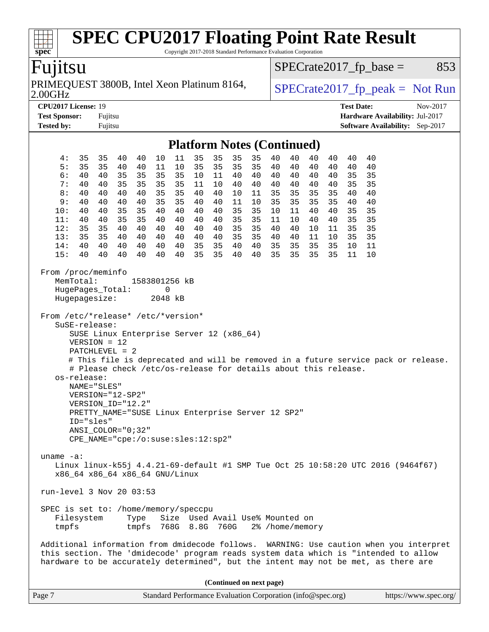### **[SPEC CPU2017 Floating Point Rate Result](http://www.spec.org/auto/cpu2017/Docs/result-fields.html#SPECCPU2017FloatingPointRateResult)**

Copyright 2017-2018 Standard Performance Evaluation Corporation

### Fujitsu

2.00GHz PRIMEQUEST 3800B, Intel Xeon Platinum 8164,  $SPECrate2017_fp\_peak = Not Run$ 

 $SPECTate2017_fp\_base = 853$ 

**[Test Sponsor:](http://www.spec.org/auto/cpu2017/Docs/result-fields.html#TestSponsor)** Fujitsu **[Hardware Availability:](http://www.spec.org/auto/cpu2017/Docs/result-fields.html#HardwareAvailability)** Jul-2017 **[Tested by:](http://www.spec.org/auto/cpu2017/Docs/result-fields.html#Testedby)** Fujitsu **Fugital Example 2017 [Software Availability:](http://www.spec.org/auto/cpu2017/Docs/result-fields.html#SoftwareAvailability)** Sep-2017

**[CPU2017 License:](http://www.spec.org/auto/cpu2017/Docs/result-fields.html#CPU2017License)** 19 **[Test Date:](http://www.spec.org/auto/cpu2017/Docs/result-fields.html#TestDate)** Nov-2017

#### **[Platform Notes \(Continued\)](http://www.spec.org/auto/cpu2017/Docs/result-fields.html#PlatformNotes)**

|                                                                                                                                                                                                                                                                                                                                                                                                                                                                                                                                                                                                                             |    |          |                                |    |    |    |    | $\bf 1$ lativi in Twics (Continued) |    |    |    |    |    |    |                                                                                  |  |
|-----------------------------------------------------------------------------------------------------------------------------------------------------------------------------------------------------------------------------------------------------------------------------------------------------------------------------------------------------------------------------------------------------------------------------------------------------------------------------------------------------------------------------------------------------------------------------------------------------------------------------|----|----------|--------------------------------|----|----|----|----|-------------------------------------|----|----|----|----|----|----|----------------------------------------------------------------------------------|--|
| 4:                                                                                                                                                                                                                                                                                                                                                                                                                                                                                                                                                                                                                          | 35 | 35<br>40 | 40                             | 10 | 11 | 35 | 35 | 35                                  | 35 | 40 | 40 | 40 | 40 | 40 | 40                                                                               |  |
| 5:                                                                                                                                                                                                                                                                                                                                                                                                                                                                                                                                                                                                                          | 35 | 35<br>40 | 40                             | 11 | 10 | 35 | 35 | 35                                  | 35 | 40 | 40 | 40 | 40 | 40 | 40                                                                               |  |
| 6 :                                                                                                                                                                                                                                                                                                                                                                                                                                                                                                                                                                                                                         | 40 | 35<br>40 | 35                             | 35 | 35 | 10 | 11 | 40                                  | 40 | 40 | 40 | 40 | 40 | 35 | 35                                                                               |  |
| 7:                                                                                                                                                                                                                                                                                                                                                                                                                                                                                                                                                                                                                          | 40 | 35<br>40 | 35                             | 35 | 35 | 11 | 10 | 40                                  | 40 | 40 | 40 | 40 | 40 | 35 | 35                                                                               |  |
| 8 :                                                                                                                                                                                                                                                                                                                                                                                                                                                                                                                                                                                                                         | 40 | 40<br>40 | 40                             | 35 | 35 | 40 | 40 | 10                                  | 11 | 35 | 35 | 35 | 35 | 40 | 40                                                                               |  |
| 9:                                                                                                                                                                                                                                                                                                                                                                                                                                                                                                                                                                                                                          | 40 | 40<br>40 | 40                             | 35 | 35 | 40 | 40 | 11                                  | 10 | 35 | 35 | 35 | 35 | 40 | 40                                                                               |  |
| 10:                                                                                                                                                                                                                                                                                                                                                                                                                                                                                                                                                                                                                         | 40 | 40<br>35 | 35                             | 40 | 40 | 40 | 40 | 35                                  | 35 | 10 | 11 | 40 | 40 | 35 | 35                                                                               |  |
| 11:                                                                                                                                                                                                                                                                                                                                                                                                                                                                                                                                                                                                                         | 40 | 35<br>40 | 35                             | 40 | 40 | 40 | 40 | 35                                  | 35 | 11 | 10 | 40 | 40 | 35 | 35                                                                               |  |
| 12:                                                                                                                                                                                                                                                                                                                                                                                                                                                                                                                                                                                                                         | 35 | 40<br>35 | 40                             | 40 | 40 | 40 | 40 | 35                                  | 35 | 40 | 40 | 10 | 11 | 35 | 35                                                                               |  |
| 13:                                                                                                                                                                                                                                                                                                                                                                                                                                                                                                                                                                                                                         | 35 | 35<br>40 | 40                             | 40 | 40 | 40 | 40 | 35                                  | 35 | 40 | 40 | 11 | 10 | 35 | 35                                                                               |  |
| 14:                                                                                                                                                                                                                                                                                                                                                                                                                                                                                                                                                                                                                         | 40 | 40<br>40 | 40                             | 40 | 40 | 35 | 35 | 40                                  | 40 | 35 | 35 | 35 | 35 | 10 | 11                                                                               |  |
| 15:                                                                                                                                                                                                                                                                                                                                                                                                                                                                                                                                                                                                                         | 40 |          | 40                             | 40 | 40 | 35 | 35 | 40                                  | 40 | 35 | 35 | 35 | 35 | 11 | 10                                                                               |  |
| 40<br>40<br>From /proc/meminfo<br>MemTotal:<br>1583801256 kB<br>HugePages_Total:<br>0<br>2048 kB<br>Hugepagesize:<br>From /etc/*release* /etc/*version*<br>SuSE-release:<br>SUSE Linux Enterprise Server 12 (x86_64)<br>$VERSION = 12$<br>PATCHLEVEL = 2<br># This file is deprecated and will be removed in a future service pack or release.<br># Please check /etc/os-release for details about this release.<br>os-release:<br>NAME="SLES"<br>VERSION="12-SP2"<br>VERSION_ID="12.2"<br>PRETTY_NAME="SUSE Linux Enterprise Server 12 SP2"<br>ID="sles"<br>$ANSI$ _COLOR=" $0:32$ "<br>CPE_NAME="cpe:/o:suse:sles:12:sp2" |    |          |                                |    |    |    |    |                                     |    |    |    |    |    |    |                                                                                  |  |
| uname $-a$ :                                                                                                                                                                                                                                                                                                                                                                                                                                                                                                                                                                                                                |    |          | x86_64 x86_64 x86_64 GNU/Linux |    |    |    |    |                                     |    |    |    |    |    |    | Linux linux-k55j 4.4.21-69-default #1 SMP Tue Oct 25 10:58:20 UTC 2016 (9464f67) |  |
| run-level 3 Nov 20 03:53                                                                                                                                                                                                                                                                                                                                                                                                                                                                                                                                                                                                    |    |          |                                |    |    |    |    |                                     |    |    |    |    |    |    |                                                                                  |  |
| SPEC is set to: /home/memory/speccpu<br>Filesystem<br>Size Used Avail Use% Mounted on<br>Type<br>768G 8.8G<br>760G<br>tmpfs<br>tmpfs<br>2% /home/memory                                                                                                                                                                                                                                                                                                                                                                                                                                                                     |    |          |                                |    |    |    |    |                                     |    |    |    |    |    |    |                                                                                  |  |
| Additional information from dmidecode follows. WARNING: Use caution when you interpret<br>this section. The 'dmidecode' program reads system data which is "intended to allow<br>hardware to be accurately determined", but the intent may not be met, as there are                                                                                                                                                                                                                                                                                                                                                         |    |          |                                |    |    |    |    |                                     |    |    |    |    |    |    |                                                                                  |  |

**(Continued on next page)**

| Page 7 | Standard Performance Evaluation Corporation (info@spec.org) | https://www.spec.org/ |
|--------|-------------------------------------------------------------|-----------------------|
|--------|-------------------------------------------------------------|-----------------------|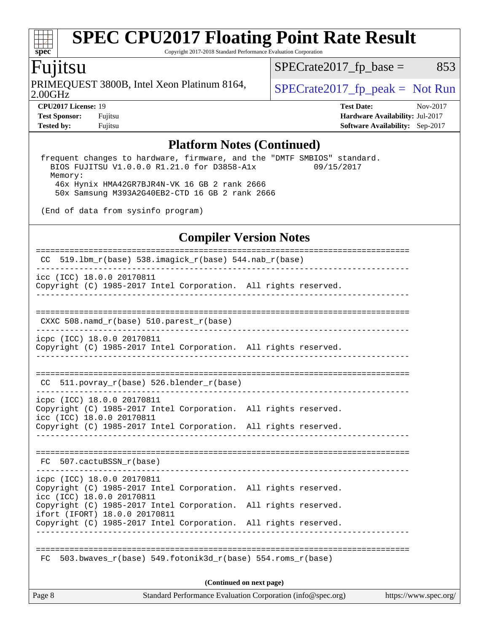Copyright 2017-2018 Standard Performance Evaluation Corporation

### Fujitsu

**[spec](http://www.spec.org/)**

2.00GHz PRIMEQUEST 3800B, Intel Xeon Platinum 8164,  $\big|$  [SPECrate2017\\_fp\\_peak =](http://www.spec.org/auto/cpu2017/Docs/result-fields.html#SPECrate2017fppeak) Not Run

 $SPECTate2017_fp\_base = 853$ 

**[Tested by:](http://www.spec.org/auto/cpu2017/Docs/result-fields.html#Testedby)** Fujitsu **[Software Availability:](http://www.spec.org/auto/cpu2017/Docs/result-fields.html#SoftwareAvailability)** Sep-2017

**[CPU2017 License:](http://www.spec.org/auto/cpu2017/Docs/result-fields.html#CPU2017License)** 19 **[Test Date:](http://www.spec.org/auto/cpu2017/Docs/result-fields.html#TestDate)** Nov-2017 **[Test Sponsor:](http://www.spec.org/auto/cpu2017/Docs/result-fields.html#TestSponsor)** Fujitsu **[Hardware Availability:](http://www.spec.org/auto/cpu2017/Docs/result-fields.html#HardwareAvailability)** Jul-2017

### **[Platform Notes \(Continued\)](http://www.spec.org/auto/cpu2017/Docs/result-fields.html#PlatformNotes)**

 frequent changes to hardware, firmware, and the "DMTF SMBIOS" standard. BIOS FUJITSU V1.0.0.0 R1.21.0 for D3858-A1x 09/15/2017 Memory: 46x Hynix HMA42GR7BJR4N-VK 16 GB 2 rank 2666 50x Samsung M393A2G40EB2-CTD 16 GB 2 rank 2666

(End of data from sysinfo program)

#### **[Compiler Version Notes](http://www.spec.org/auto/cpu2017/Docs/result-fields.html#CompilerVersionNotes)**

|                                                                 | FC 503.bwaves $r(base)$ 549.fotonik3d $r(base)$ 554.roms $r(base)$<br>(Continued on next page) |  |                                        |  |
|-----------------------------------------------------------------|------------------------------------------------------------------------------------------------|--|----------------------------------------|--|
|                                                                 |                                                                                                |  |                                        |  |
|                                                                 |                                                                                                |  |                                        |  |
| Copyright (C) 1985-2017 Intel Corporation. All rights reserved. |                                                                                                |  |                                        |  |
| ifort (IFORT) 18.0.0 20170811                                   | Copyright (C) 1985-2017 Intel Corporation. All rights reserved.                                |  |                                        |  |
| icc (ICC) 18.0.0 20170811                                       | Copyright (C) 1985-2017 Intel Corporation. All rights reserved.                                |  |                                        |  |
| icpc (ICC) 18.0.0 20170811                                      |                                                                                                |  |                                        |  |
| FC 507.cactuBSSN_r(base)                                        |                                                                                                |  |                                        |  |
|                                                                 | Copyright (C) 1985-2017 Intel Corporation. All rights reserved.                                |  |                                        |  |
| icpc (ICC) 18.0.0 20170811<br>icc (ICC) 18.0.0 20170811         | Copyright (C) 1985-2017 Intel Corporation. All rights reserved.                                |  |                                        |  |
|                                                                 | $CC$ 511.povray_r(base) 526.blender_r(base)                                                    |  |                                        |  |
|                                                                 |                                                                                                |  |                                        |  |
| icpc (ICC) 18.0.0 20170811                                      | Copyright (C) 1985-2017 Intel Corporation. All rights reserved.<br>__________________          |  |                                        |  |
| CXXC 508.namd_r(base) 510.parest_r(base)                        |                                                                                                |  |                                        |  |
|                                                                 |                                                                                                |  |                                        |  |
| icc (ICC) 18.0.0 20170811                                       | Copyright (C) 1985-2017 Intel Corporation. All rights reserved.                                |  |                                        |  |
|                                                                 | CC 519.1bm_r(base) 538.imagick_r(base) 544.nab_r(base)                                         |  | -------------------------------------- |  |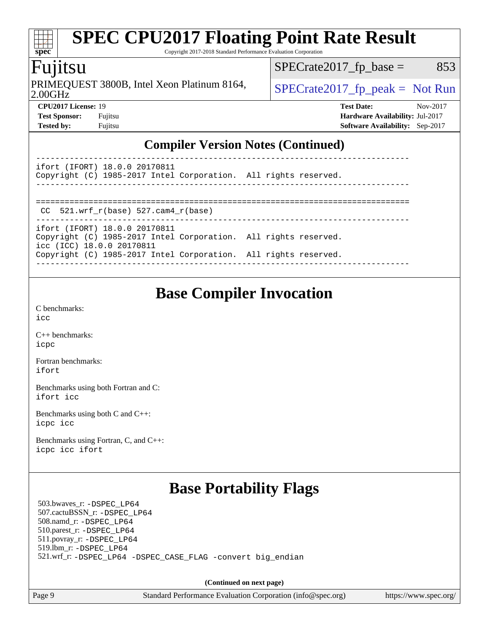Copyright 2017-2018 Standard Performance Evaluation Corporation

### Fujitsu

**[spec](http://www.spec.org/)**

2.00GHz PRIMEQUEST 3800B, Intel Xeon Platinum 8164,  $\big|$  SPECrate 2017 fp peak = Not Run

 $SPECTate2017<sub>fp</sub> base =  $853$$ 

**[CPU2017 License:](http://www.spec.org/auto/cpu2017/Docs/result-fields.html#CPU2017License)** 19 **[Test Date:](http://www.spec.org/auto/cpu2017/Docs/result-fields.html#TestDate)** Nov-2017 **[Test Sponsor:](http://www.spec.org/auto/cpu2017/Docs/result-fields.html#TestSponsor)** Fujitsu **[Hardware Availability:](http://www.spec.org/auto/cpu2017/Docs/result-fields.html#HardwareAvailability)** Jul-2017 **[Tested by:](http://www.spec.org/auto/cpu2017/Docs/result-fields.html#Testedby)** Fujitsu **[Software Availability:](http://www.spec.org/auto/cpu2017/Docs/result-fields.html#SoftwareAvailability)** Sep-2017

#### **[Compiler Version Notes \(Continued\)](http://www.spec.org/auto/cpu2017/Docs/result-fields.html#CompilerVersionNotes)**

| ifort (IFORT) 18.0.0 20170811 |                                                                 |  |
|-------------------------------|-----------------------------------------------------------------|--|
|                               | Copyright (C) 1985-2017 Intel Corporation. All rights reserved. |  |
|                               |                                                                 |  |

==============================================================================

 $CC$  521.wrf $r(base)$  527.cam4 $r(base)$ ------------------------------------------------------------------------------

ifort (IFORT) 18.0.0 20170811 Copyright (C) 1985-2017 Intel Corporation. All rights reserved. icc (ICC) 18.0.0 20170811 Copyright (C) 1985-2017 Intel Corporation. All rights reserved. ------------------------------------------------------------------------------

### **[Base Compiler Invocation](http://www.spec.org/auto/cpu2017/Docs/result-fields.html#BaseCompilerInvocation)**

[C benchmarks](http://www.spec.org/auto/cpu2017/Docs/result-fields.html#Cbenchmarks): [icc](http://www.spec.org/cpu2017/results/res2017q4/cpu2017-20171212-01600.flags.html#user_CCbase_intel_icc_18.0_66fc1ee009f7361af1fbd72ca7dcefbb700085f36577c54f309893dd4ec40d12360134090235512931783d35fd58c0460139e722d5067c5574d8eaf2b3e37e92)

[C++ benchmarks:](http://www.spec.org/auto/cpu2017/Docs/result-fields.html#CXXbenchmarks) [icpc](http://www.spec.org/cpu2017/results/res2017q4/cpu2017-20171212-01600.flags.html#user_CXXbase_intel_icpc_18.0_c510b6838c7f56d33e37e94d029a35b4a7bccf4766a728ee175e80a419847e808290a9b78be685c44ab727ea267ec2f070ec5dc83b407c0218cded6866a35d07)

[Fortran benchmarks](http://www.spec.org/auto/cpu2017/Docs/result-fields.html#Fortranbenchmarks): [ifort](http://www.spec.org/cpu2017/results/res2017q4/cpu2017-20171212-01600.flags.html#user_FCbase_intel_ifort_18.0_8111460550e3ca792625aed983ce982f94888b8b503583aa7ba2b8303487b4d8a21a13e7191a45c5fd58ff318f48f9492884d4413fa793fd88dd292cad7027ca)

[Benchmarks using both Fortran and C](http://www.spec.org/auto/cpu2017/Docs/result-fields.html#BenchmarksusingbothFortranandC): [ifort](http://www.spec.org/cpu2017/results/res2017q4/cpu2017-20171212-01600.flags.html#user_CC_FCbase_intel_ifort_18.0_8111460550e3ca792625aed983ce982f94888b8b503583aa7ba2b8303487b4d8a21a13e7191a45c5fd58ff318f48f9492884d4413fa793fd88dd292cad7027ca) [icc](http://www.spec.org/cpu2017/results/res2017q4/cpu2017-20171212-01600.flags.html#user_CC_FCbase_intel_icc_18.0_66fc1ee009f7361af1fbd72ca7dcefbb700085f36577c54f309893dd4ec40d12360134090235512931783d35fd58c0460139e722d5067c5574d8eaf2b3e37e92)

[Benchmarks using both C and C++](http://www.spec.org/auto/cpu2017/Docs/result-fields.html#BenchmarksusingbothCandCXX): [icpc](http://www.spec.org/cpu2017/results/res2017q4/cpu2017-20171212-01600.flags.html#user_CC_CXXbase_intel_icpc_18.0_c510b6838c7f56d33e37e94d029a35b4a7bccf4766a728ee175e80a419847e808290a9b78be685c44ab727ea267ec2f070ec5dc83b407c0218cded6866a35d07) [icc](http://www.spec.org/cpu2017/results/res2017q4/cpu2017-20171212-01600.flags.html#user_CC_CXXbase_intel_icc_18.0_66fc1ee009f7361af1fbd72ca7dcefbb700085f36577c54f309893dd4ec40d12360134090235512931783d35fd58c0460139e722d5067c5574d8eaf2b3e37e92)

[Benchmarks using Fortran, C, and C++:](http://www.spec.org/auto/cpu2017/Docs/result-fields.html#BenchmarksusingFortranCandCXX) [icpc](http://www.spec.org/cpu2017/results/res2017q4/cpu2017-20171212-01600.flags.html#user_CC_CXX_FCbase_intel_icpc_18.0_c510b6838c7f56d33e37e94d029a35b4a7bccf4766a728ee175e80a419847e808290a9b78be685c44ab727ea267ec2f070ec5dc83b407c0218cded6866a35d07) [icc](http://www.spec.org/cpu2017/results/res2017q4/cpu2017-20171212-01600.flags.html#user_CC_CXX_FCbase_intel_icc_18.0_66fc1ee009f7361af1fbd72ca7dcefbb700085f36577c54f309893dd4ec40d12360134090235512931783d35fd58c0460139e722d5067c5574d8eaf2b3e37e92) [ifort](http://www.spec.org/cpu2017/results/res2017q4/cpu2017-20171212-01600.flags.html#user_CC_CXX_FCbase_intel_ifort_18.0_8111460550e3ca792625aed983ce982f94888b8b503583aa7ba2b8303487b4d8a21a13e7191a45c5fd58ff318f48f9492884d4413fa793fd88dd292cad7027ca)

### **[Base Portability Flags](http://www.spec.org/auto/cpu2017/Docs/result-fields.html#BasePortabilityFlags)**

 503.bwaves\_r: [-DSPEC\\_LP64](http://www.spec.org/cpu2017/results/res2017q4/cpu2017-20171212-01600.flags.html#suite_basePORTABILITY503_bwaves_r_DSPEC_LP64) 507.cactuBSSN\_r: [-DSPEC\\_LP64](http://www.spec.org/cpu2017/results/res2017q4/cpu2017-20171212-01600.flags.html#suite_basePORTABILITY507_cactuBSSN_r_DSPEC_LP64) 508.namd\_r: [-DSPEC\\_LP64](http://www.spec.org/cpu2017/results/res2017q4/cpu2017-20171212-01600.flags.html#suite_basePORTABILITY508_namd_r_DSPEC_LP64) 510.parest\_r: [-DSPEC\\_LP64](http://www.spec.org/cpu2017/results/res2017q4/cpu2017-20171212-01600.flags.html#suite_basePORTABILITY510_parest_r_DSPEC_LP64) 511.povray\_r: [-DSPEC\\_LP64](http://www.spec.org/cpu2017/results/res2017q4/cpu2017-20171212-01600.flags.html#suite_basePORTABILITY511_povray_r_DSPEC_LP64) 519.lbm\_r: [-DSPEC\\_LP64](http://www.spec.org/cpu2017/results/res2017q4/cpu2017-20171212-01600.flags.html#suite_basePORTABILITY519_lbm_r_DSPEC_LP64) 521.wrf\_r: [-DSPEC\\_LP64](http://www.spec.org/cpu2017/results/res2017q4/cpu2017-20171212-01600.flags.html#suite_basePORTABILITY521_wrf_r_DSPEC_LP64) [-DSPEC\\_CASE\\_FLAG](http://www.spec.org/cpu2017/results/res2017q4/cpu2017-20171212-01600.flags.html#b521.wrf_r_baseCPORTABILITY_DSPEC_CASE_FLAG) [-convert big\\_endian](http://www.spec.org/cpu2017/results/res2017q4/cpu2017-20171212-01600.flags.html#user_baseFPORTABILITY521_wrf_r_convert_big_endian_c3194028bc08c63ac5d04de18c48ce6d347e4e562e8892b8bdbdc0214820426deb8554edfa529a3fb25a586e65a3d812c835984020483e7e73212c4d31a38223)

**(Continued on next page)**

Page 9 Standard Performance Evaluation Corporation [\(info@spec.org\)](mailto:info@spec.org) <https://www.spec.org/>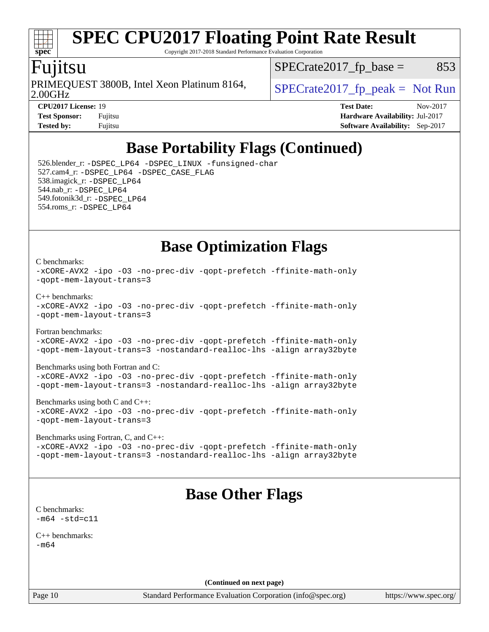

Copyright 2017-2018 Standard Performance Evaluation Corporation

### Fujitsu

2.00GHz PRIMEQUEST 3800B, Intel Xeon Platinum 8164,  $\big|$  SPECrate 2017 fp peak = Not Run

 $SPECTate2017<sub>fp</sub> base =  $853$$ 

**[CPU2017 License:](http://www.spec.org/auto/cpu2017/Docs/result-fields.html#CPU2017License)** 19 **[Test Date:](http://www.spec.org/auto/cpu2017/Docs/result-fields.html#TestDate)** Nov-2017 **[Test Sponsor:](http://www.spec.org/auto/cpu2017/Docs/result-fields.html#TestSponsor)** Fujitsu **[Hardware Availability:](http://www.spec.org/auto/cpu2017/Docs/result-fields.html#HardwareAvailability)** Jul-2017 **[Tested by:](http://www.spec.org/auto/cpu2017/Docs/result-fields.html#Testedby)** Fujitsu **Fugital Example 2017 [Software Availability:](http://www.spec.org/auto/cpu2017/Docs/result-fields.html#SoftwareAvailability)** Sep-2017

### **[Base Portability Flags \(Continued\)](http://www.spec.org/auto/cpu2017/Docs/result-fields.html#BasePortabilityFlags)**

 526.blender\_r: [-DSPEC\\_LP64](http://www.spec.org/cpu2017/results/res2017q4/cpu2017-20171212-01600.flags.html#suite_basePORTABILITY526_blender_r_DSPEC_LP64) [-DSPEC\\_LINUX](http://www.spec.org/cpu2017/results/res2017q4/cpu2017-20171212-01600.flags.html#b526.blender_r_baseCPORTABILITY_DSPEC_LINUX) [-funsigned-char](http://www.spec.org/cpu2017/results/res2017q4/cpu2017-20171212-01600.flags.html#user_baseCPORTABILITY526_blender_r_force_uchar_40c60f00ab013830e2dd6774aeded3ff59883ba5a1fc5fc14077f794d777847726e2a5858cbc7672e36e1b067e7e5c1d9a74f7176df07886a243d7cc18edfe67) 527.cam4\_r: [-DSPEC\\_LP64](http://www.spec.org/cpu2017/results/res2017q4/cpu2017-20171212-01600.flags.html#suite_basePORTABILITY527_cam4_r_DSPEC_LP64) [-DSPEC\\_CASE\\_FLAG](http://www.spec.org/cpu2017/results/res2017q4/cpu2017-20171212-01600.flags.html#b527.cam4_r_baseCPORTABILITY_DSPEC_CASE_FLAG) 538.imagick\_r: [-DSPEC\\_LP64](http://www.spec.org/cpu2017/results/res2017q4/cpu2017-20171212-01600.flags.html#suite_basePORTABILITY538_imagick_r_DSPEC_LP64) 544.nab\_r: [-DSPEC\\_LP64](http://www.spec.org/cpu2017/results/res2017q4/cpu2017-20171212-01600.flags.html#suite_basePORTABILITY544_nab_r_DSPEC_LP64) 549.fotonik3d\_r: [-DSPEC\\_LP64](http://www.spec.org/cpu2017/results/res2017q4/cpu2017-20171212-01600.flags.html#suite_basePORTABILITY549_fotonik3d_r_DSPEC_LP64) 554.roms\_r: [-DSPEC\\_LP64](http://www.spec.org/cpu2017/results/res2017q4/cpu2017-20171212-01600.flags.html#suite_basePORTABILITY554_roms_r_DSPEC_LP64)

**[Base Optimization Flags](http://www.spec.org/auto/cpu2017/Docs/result-fields.html#BaseOptimizationFlags)**

#### [C benchmarks](http://www.spec.org/auto/cpu2017/Docs/result-fields.html#Cbenchmarks):

```
-xCORE-AVX2 -ipo -O3 -no-prec-div -qopt-prefetch -ffinite-math-only
-qopt-mem-layout-trans=3
C++ benchmarks: 
-xCORE-AVX2 -ipo -O3 -no-prec-div -qopt-prefetch -ffinite-math-only
-qopt-mem-layout-trans=3
Fortran benchmarks: 
-xCORE-AVX2 -ipo -O3 -no-prec-div -qopt-prefetch -ffinite-math-only
-qopt-mem-layout-trans=3 -nostandard-realloc-lhs -align array32byte
```
[Benchmarks using both Fortran and C](http://www.spec.org/auto/cpu2017/Docs/result-fields.html#BenchmarksusingbothFortranandC):

```
-xCORE-AVX2 -ipo -O3 -no-prec-div -qopt-prefetch -ffinite-math-only
-qopt-mem-layout-trans=3 -nostandard-realloc-lhs -align array32byte
```
[Benchmarks using both C and C++](http://www.spec.org/auto/cpu2017/Docs/result-fields.html#BenchmarksusingbothCandCXX): [-xCORE-AVX2](http://www.spec.org/cpu2017/results/res2017q4/cpu2017-20171212-01600.flags.html#user_CC_CXXbase_f-xCORE-AVX2) [-ipo](http://www.spec.org/cpu2017/results/res2017q4/cpu2017-20171212-01600.flags.html#user_CC_CXXbase_f-ipo) [-O3](http://www.spec.org/cpu2017/results/res2017q4/cpu2017-20171212-01600.flags.html#user_CC_CXXbase_f-O3) [-no-prec-div](http://www.spec.org/cpu2017/results/res2017q4/cpu2017-20171212-01600.flags.html#user_CC_CXXbase_f-no-prec-div) [-qopt-prefetch](http://www.spec.org/cpu2017/results/res2017q4/cpu2017-20171212-01600.flags.html#user_CC_CXXbase_f-qopt-prefetch) [-ffinite-math-only](http://www.spec.org/cpu2017/results/res2017q4/cpu2017-20171212-01600.flags.html#user_CC_CXXbase_f_finite_math_only_cb91587bd2077682c4b38af759c288ed7c732db004271a9512da14a4f8007909a5f1427ecbf1a0fb78ff2a814402c6114ac565ca162485bbcae155b5e4258871) [-qopt-mem-layout-trans=3](http://www.spec.org/cpu2017/results/res2017q4/cpu2017-20171212-01600.flags.html#user_CC_CXXbase_f-qopt-mem-layout-trans_de80db37974c74b1f0e20d883f0b675c88c3b01e9d123adea9b28688d64333345fb62bc4a798493513fdb68f60282f9a726aa07f478b2f7113531aecce732043)

[Benchmarks using Fortran, C, and C++:](http://www.spec.org/auto/cpu2017/Docs/result-fields.html#BenchmarksusingFortranCandCXX) [-xCORE-AVX2](http://www.spec.org/cpu2017/results/res2017q4/cpu2017-20171212-01600.flags.html#user_CC_CXX_FCbase_f-xCORE-AVX2) [-ipo](http://www.spec.org/cpu2017/results/res2017q4/cpu2017-20171212-01600.flags.html#user_CC_CXX_FCbase_f-ipo) [-O3](http://www.spec.org/cpu2017/results/res2017q4/cpu2017-20171212-01600.flags.html#user_CC_CXX_FCbase_f-O3) [-no-prec-div](http://www.spec.org/cpu2017/results/res2017q4/cpu2017-20171212-01600.flags.html#user_CC_CXX_FCbase_f-no-prec-div) [-qopt-prefetch](http://www.spec.org/cpu2017/results/res2017q4/cpu2017-20171212-01600.flags.html#user_CC_CXX_FCbase_f-qopt-prefetch) [-ffinite-math-only](http://www.spec.org/cpu2017/results/res2017q4/cpu2017-20171212-01600.flags.html#user_CC_CXX_FCbase_f_finite_math_only_cb91587bd2077682c4b38af759c288ed7c732db004271a9512da14a4f8007909a5f1427ecbf1a0fb78ff2a814402c6114ac565ca162485bbcae155b5e4258871) [-qopt-mem-layout-trans=3](http://www.spec.org/cpu2017/results/res2017q4/cpu2017-20171212-01600.flags.html#user_CC_CXX_FCbase_f-qopt-mem-layout-trans_de80db37974c74b1f0e20d883f0b675c88c3b01e9d123adea9b28688d64333345fb62bc4a798493513fdb68f60282f9a726aa07f478b2f7113531aecce732043) [-nostandard-realloc-lhs](http://www.spec.org/cpu2017/results/res2017q4/cpu2017-20171212-01600.flags.html#user_CC_CXX_FCbase_f_2003_std_realloc_82b4557e90729c0f113870c07e44d33d6f5a304b4f63d4c15d2d0f1fab99f5daaed73bdb9275d9ae411527f28b936061aa8b9c8f2d63842963b95c9dd6426b8a) [-align array32byte](http://www.spec.org/cpu2017/results/res2017q4/cpu2017-20171212-01600.flags.html#user_CC_CXX_FCbase_align_array32byte_b982fe038af199962ba9a80c053b8342c548c85b40b8e86eb3cc33dee0d7986a4af373ac2d51c3f7cf710a18d62fdce2948f201cd044323541f22fc0fffc51b6)

### **[Base Other Flags](http://www.spec.org/auto/cpu2017/Docs/result-fields.html#BaseOtherFlags)**

| C benchmarks:     |
|-------------------|
| $-m64 - std= c11$ |

[C++ benchmarks:](http://www.spec.org/auto/cpu2017/Docs/result-fields.html#CXXbenchmarks) [-m64](http://www.spec.org/cpu2017/results/res2017q4/cpu2017-20171212-01600.flags.html#user_CXXbase_intel_intel64_18.0_af43caccfc8ded86e7699f2159af6efc7655f51387b94da716254467f3c01020a5059329e2569e4053f409e7c9202a7efc638f7a6d1ffb3f52dea4a3e31d82ab)

**(Continued on next page)**

Page 10 Standard Performance Evaluation Corporation [\(info@spec.org\)](mailto:info@spec.org) <https://www.spec.org/>